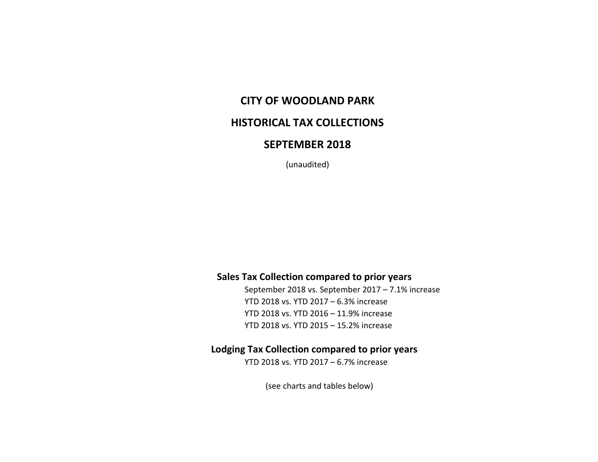# **CITY OF WOODLAND PARK**

## **HISTORICAL TAX COLLECTIONS**

## **SEPTEMBER 2018**

(unaudited)

#### **Sales Tax Collection compared to prior years**

September 2018 vs. September 2017 – 7.1% increase YTD 2018 vs. YTD 2017 – 6.3% increase YTD 2018 vs. YTD 2016 – 11.9% increase YTD 2018 vs. YTD 2015 – 15.2% increase

## **Lodging Tax Collection compared to prior years**

YTD 2018 vs. YTD 2017 – 6.7% increase

(see charts and tables below)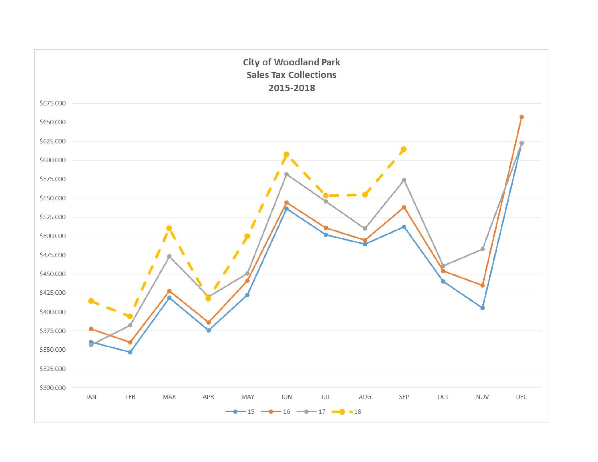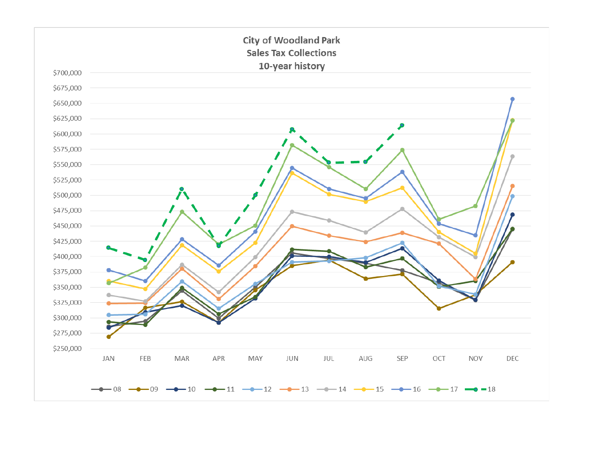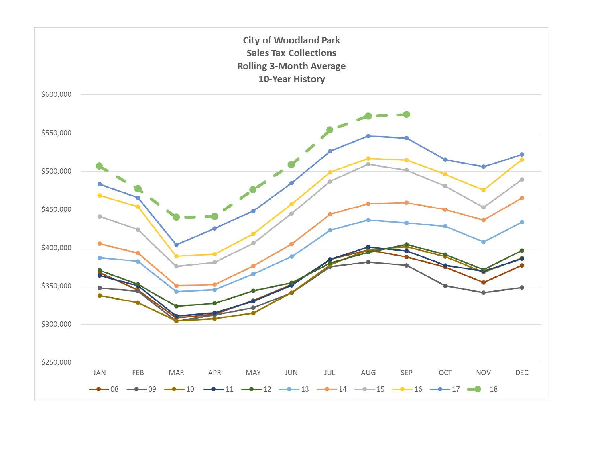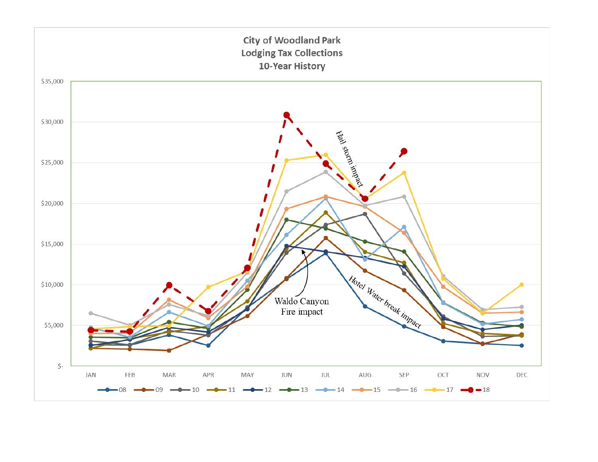